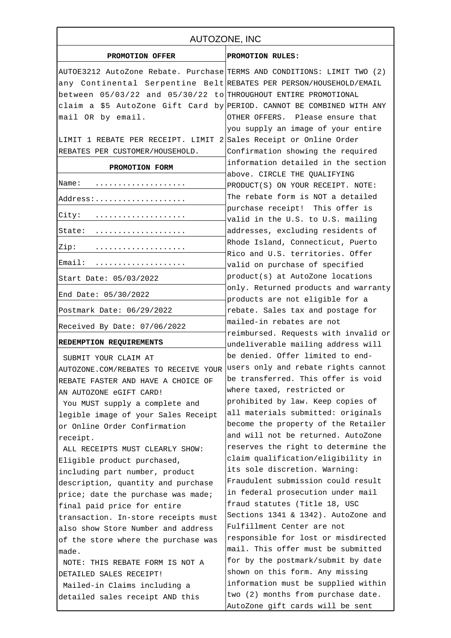| AUTOZONE, INC                                                           |                                                                            |
|-------------------------------------------------------------------------|----------------------------------------------------------------------------|
| PROMOTION OFFER                                                         | PROMOTION RULES:                                                           |
| AUTOE3212 AutoZone Rebate. Purchase TERMS AND CONDITIONS: LIMIT TWO (2) |                                                                            |
| any Continental Serpentine Belt REBATES PER PERSON/HOUSEHOLD/EMAIL      |                                                                            |
| between 05/03/22 and 05/30/22 to THROUGHOUT ENTIRE PROMOTIONAL          |                                                                            |
| claim a \$5 AutoZone Gift Card by PERIOD. CANNOT BE COMBINED WITH ANY   |                                                                            |
| mail OR by email.                                                       | OTHER OFFERS. Please ensure that                                           |
|                                                                         | you supply an image of your entire                                         |
| LIMIT 1 REBATE PER RECEIPT. LIMIT 2 Sales Receipt or Online Order       |                                                                            |
| REBATES PER CUSTOMER/HOUSEHOLD.                                         | Confirmation showing the required                                          |
| PROMOTION FORM                                                          | information detailed in the section                                        |
| Name:                                                                   | above. CIRCLE THE QUALIFYING                                               |
|                                                                         | PRODUCT(S) ON YOUR RECEIPT. NOTE:                                          |
| Address:                                                                | The rebate form is NOT a detailed                                          |
| City:                                                                   | purchase receipt! This offer is<br>valid in the U.S. to U.S. mailing       |
| State:                                                                  | addresses, excluding residents of                                          |
| Zip:                                                                    | Rhode Island, Connecticut, Puerto                                          |
|                                                                         | Rico and U.S. territories. Offer                                           |
| Email:                                                                  | valid on purchase of specified                                             |
| Start Date: 05/03/2022                                                  | product(s) at AutoZone locations<br>only. Returned products and warranty   |
| End Date: 05/30/2022                                                    | products are not eligible for a                                            |
| Postmark Date: 06/29/2022                                               | rebate. Sales tax and postage for                                          |
| Received By Date: 07/06/2022                                            | mailed-in rebates are not                                                  |
| REDEMPTION REQUIREMENTS                                                 | reimbursed. Requests with invalid or<br>undeliverable mailing address will |
|                                                                         | be denied. Offer limited to end-                                           |
| SUBMIT YOUR CLAIM AT                                                    | users only and rebate rights cannot                                        |
| AUTOZONE.COM/REBATES TO RECEIVE YOUR                                    | be transferred. This offer is void                                         |
| REBATE FASTER AND HAVE A CHOICE OF                                      | where taxed, restricted or                                                 |
| AN AUTOZONE eGIFT CARD!                                                 | prohibited by law. Keep copies of                                          |
| You MUST supply a complete and                                          | all materials submitted: originals                                         |
| legible image of your Sales Receipt<br>or Online Order Confirmation     | become the property of the Retailer                                        |
|                                                                         | and will not be returned. AutoZone                                         |
| receipt.<br>ALL RECEIPTS MUST CLEARLY SHOW:                             | reserves the right to determine the                                        |
| Eligible product purchased,                                             | claim qualification/eligibility in                                         |
| including part number, product                                          | its sole discretion. Warning:                                              |
| description, quantity and purchase                                      | Fraudulent submission could result                                         |
| price; date the purchase was made;                                      | in federal prosecution under mail                                          |
| final paid price for entire                                             | fraud statutes (Title 18, USC                                              |
| transaction. In-store receipts must                                     | Sections 1341 & 1342). AutoZone and                                        |
| also show Store Number and address                                      | Fulfillment Center are not                                                 |
| of the store where the purchase was                                     | responsible for lost or misdirected                                        |
| made.                                                                   | mail. This offer must be submitted                                         |
| NOTE: THIS REBATE FORM IS NOT A                                         | for by the postmark/submit by date                                         |
| DETAILED SALES RECEIPT!                                                 | shown on this form. Any missing                                            |
| Mailed-in Claims including a                                            | information must be supplied within                                        |
| detailed sales receipt AND this                                         | two (2) months from purchase date.                                         |
|                                                                         | AutoZone gift cards will be sent                                           |